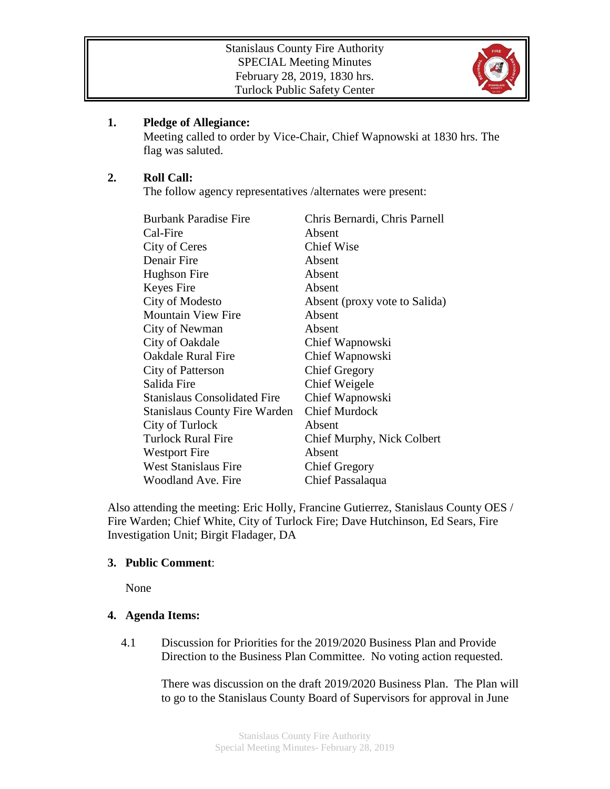

# **1. Pledge of Allegiance:**

Meeting called to order by Vice-Chair, Chief Wapnowski at 1830 hrs. The flag was saluted.

# **2. Roll Call:**

The follow agency representatives /alternates were present:

| <b>Burbank Paradise Fire</b>        | Chris Bernardi, Chris Parnell |
|-------------------------------------|-------------------------------|
| Cal-Fire                            | Absent                        |
| City of Ceres                       | <b>Chief Wise</b>             |
| Denair Fire                         | Absent                        |
| Hughson Fire                        | Absent                        |
| Keyes Fire                          | Absent                        |
| City of Modesto                     | Absent (proxy vote to Salida) |
| <b>Mountain View Fire</b>           | Absent                        |
| City of Newman                      | Absent                        |
| City of Oakdale                     | Chief Wapnowski               |
| <b>Oakdale Rural Fire</b>           | Chief Wapnowski               |
| City of Patterson                   | <b>Chief Gregory</b>          |
| Salida Fire                         | Chief Weigele                 |
| <b>Stanislaus Consolidated Fire</b> | Chief Wapnowski               |
| Stanislaus County Fire Warden       | <b>Chief Murdock</b>          |
| City of Turlock                     | Absent                        |
| <b>Turlock Rural Fire</b>           | Chief Murphy, Nick Colbert    |
| <b>Westport Fire</b>                | Absent                        |
| <b>West Stanislaus Fire</b>         | <b>Chief Gregory</b>          |
| Woodland Ave. Fire                  | Chief Passalaqua              |

Also attending the meeting: Eric Holly, Francine Gutierrez, Stanislaus County OES / Fire Warden; Chief White, City of Turlock Fire; Dave Hutchinson, Ed Sears, Fire Investigation Unit; Birgit Fladager, DA

#### **3. Public Comment**:

None

### **4. Agenda Items:**

4.1 Discussion for Priorities for the 2019/2020 Business Plan and Provide Direction to the Business Plan Committee. No voting action requested.

> There was discussion on the draft 2019/2020 Business Plan. The Plan will to go to the Stanislaus County Board of Supervisors for approval in June